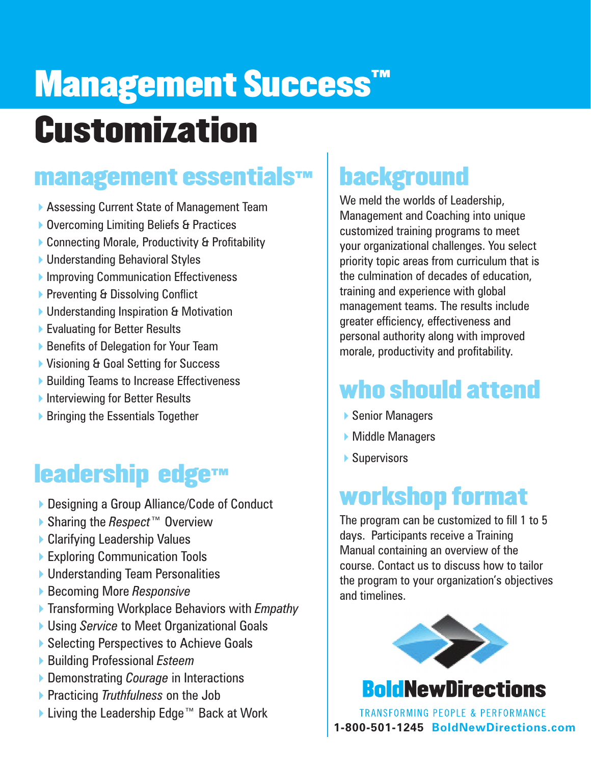# **Management Success Customization**

#### management essentials™

- ▶ Assessing Current State of Management Team
- ▶ Overcoming Limiting Beliefs & Practices
- ▶ Connecting Morale, Productivity & Profitability
- ▶ Understanding Behavioral Styles
- **Improving Communication Effectiveness**
- ▶ Preventing & Dissolving Conflict
- ▶ Understanding Inspiration & Motivation
- ▶ Evaluating for Better Results
- ▶ Benefits of Delegation for Your Team
- ▶ Visioning & Goal Setting for Success
- ▶ Building Teams to Increase Effectiveness
- **Interviewing for Better Results**
- $\triangleright$  Bringing the Essentials Together

## leadership edge™

- ▶ Designing a Group Alliance/Code of Conduct
- 4Sharing the *Respect*™ Overview
- ▶ Clarifying Leadership Values
- ▶ Exploring Communication Tools
- ▶ Understanding Team Personalities
- **▶ Becoming More Responsive**
- 4Transforming Workplace Behaviors with *Empathy*
- ▶ Using *Service* to Meet Organizational Goals
- ▶ Selecting Perspectives to Achieve Goals
- **▶ Building Professional** *Esteem*
- **▶ Demonstrating** *Courage* in Interactions
- 4Practicing *Truthfulness* on the Job
- ▶ Living the Leadership Edge™ Back at Work

## background

We meld the worlds of Leadership, Management and Coaching into unique customized training programs to meet your organizational challenges. You select priority topic areas from curriculum that is the culmination of decades of education, training and experience with global management teams. The results include greater efficiency, effectiveness and personal authority along with improved morale, productivity and profitability.

## who should attend

- ▶ Senior Managers
- $\blacktriangleright$  Middle Managers
- $\blacktriangleright$  Supervisors

### workshop format

The program can be customized to fill 1 to 5 days. Participants receive a Training Manual containing an overview of the course. Contact us to discuss how to tailor the program to your organization's objectives and timelines.



#### **Bold New Directions**

**TRANSFORMING PEOPLE & PERFORMANCE 1-800-501-1245 BoldNewDirections.com**